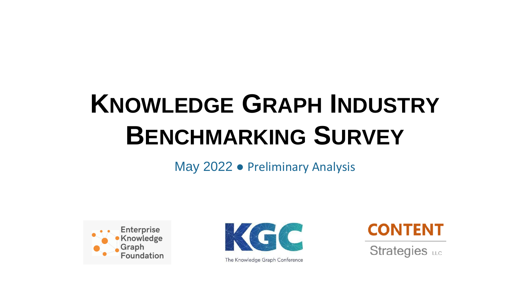# **KNOWLEDGE GRAPH INDUSTRY BENCHMARKING SURVEY**

May 2022 ● Preliminary Analysis





The Knowledge Graph Conference



Strategies LLC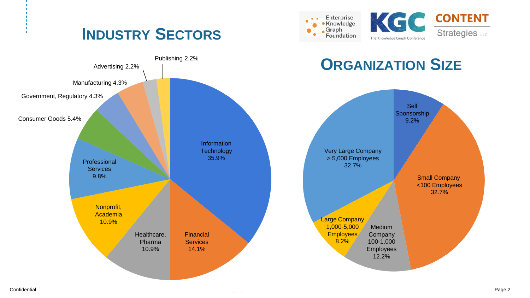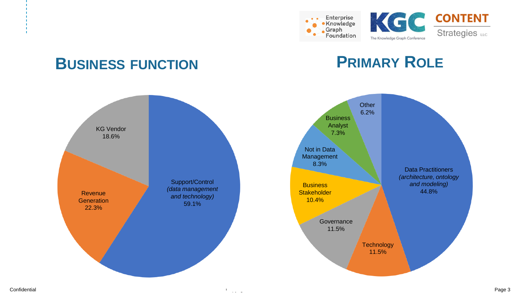



### **PRIMARY ROLE**



### **BUSINESS FUNCTION**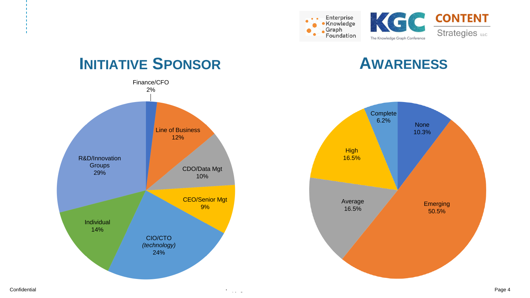





### **INITIATIVE SPONSOR AWARENESS**

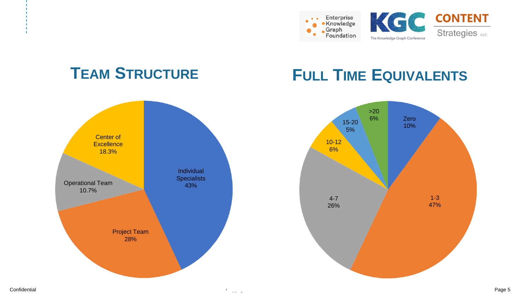





### **TEAM STRUCTURE FULL TIME EQUIVALENTS**

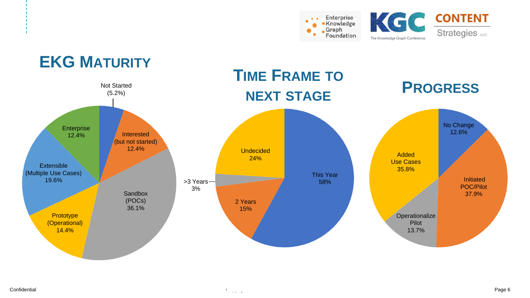





### Confidential Copyright © 2018 EDM Council Inc. Page 6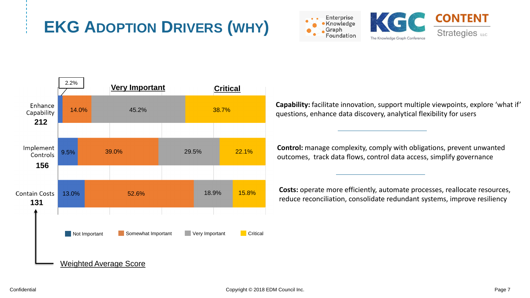### **EKG ADOPTION DRIVERS (WHY)**







**Capability:** facilitate innovation, support multiple viewpoints, explore 'what if' questions, enhance data discovery, analytical flexibility for users

**Control:** manage complexity, comply with obligations, prevent unwanted outcomes, track data flows, control data access, simplify governance

**Costs:** operate more efficiently, automate processes, reallocate resources, reduce reconciliation, consolidate redundant systems, improve resiliency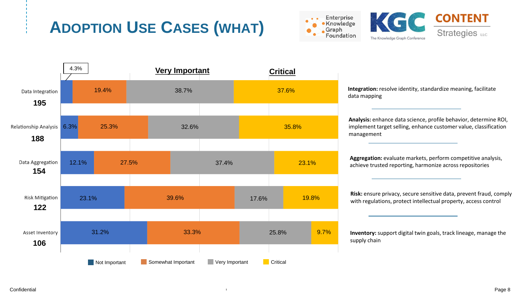## **ADOPTION USE CASES (WHAT)**





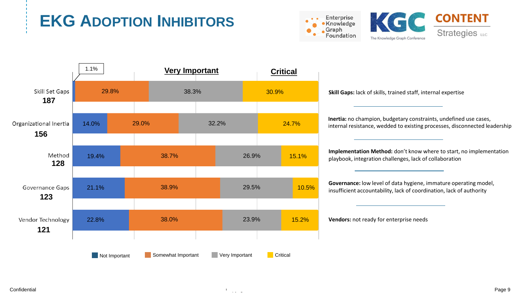# **EKG ADOPTION INHIBITORS**





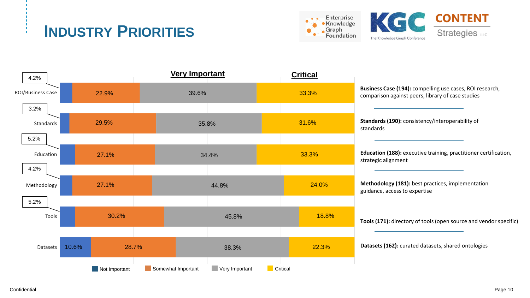### **INDUSTRY PRIORITIES**

![](_page_9_Picture_1.jpeg)

![](_page_9_Picture_2.jpeg)

![](_page_9_Figure_3.jpeg)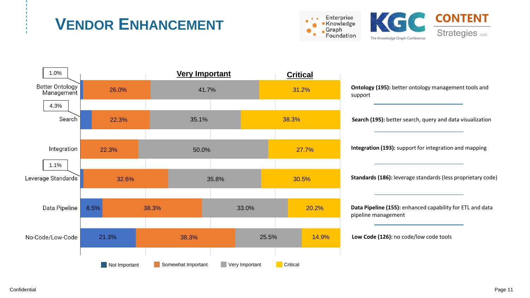### **VENDOR ENHANCEMENT**

![](_page_10_Picture_1.jpeg)

![](_page_10_Picture_2.jpeg)

![](_page_10_Figure_3.jpeg)